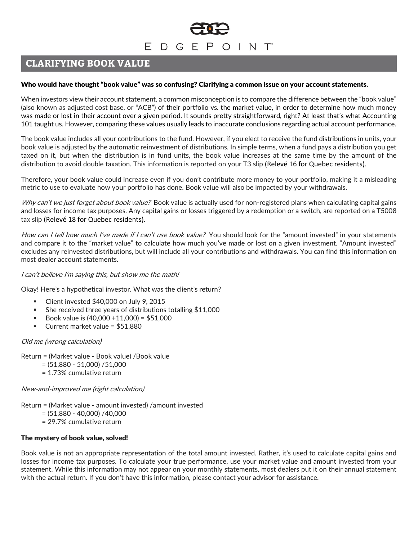# EDGEPOINT

# **CLARIFYING BOOK VALUE**

# Who would have thought "book value" was so confusing? Clarifying a common issue on your account statements.

When investors view their account statement, a common misconception is to compare the difference between the "book value" (also known as adjusted cost base, or "ACB") of their portfolio vs. the market value, in order to determine how much money was made or lost in their account over a given period. It sounds pretty straightforward, right? At least that's what Accounting 101 taught us. However, comparing these values usually leads to inaccurate conclusions regarding actual account performance.

The book value includes all your contributions to the fund. However, if you elect to receive the fund distributions in units, your book value is adjusted by the automatic reinvestment of distributions. In simple terms, when a fund pays a distribution you get taxed on it, but when the distribution is in fund units, the book value increases at the same time by the amount of the distribution to avoid double taxation. This information is reported on your T3 slip (Relevé 16 for Quebec residents).

Therefore, your book value could increase even if you don't contribute more money to your portfolio, making it a misleading metric to use to evaluate how your portfolio has done. Book value will also be impacted by your withdrawals.

Why can't we just forget about book value? Book value is actually used for non-registered plans when calculating capital gains and losses for income tax purposes. Any capital gains or losses triggered by a redemption or a switch, are reported on a T5008 tax slip (Relevé 18 for Quebec residents).

How can I tell how much I've made if I can't use book value? You should look for the "amount invested" in your statements and compare it to the "market value" to calculate how much you've made or lost on a given investment. "Amount invested" excludes any reinvested distributions, but will include all your contributions and withdrawals. You can find this information on most dealer account statements.

# I can't believe I'm saying this, but show me the math!

Okay! Here's a hypothetical investor. What was the client's return?

- Client invested \$40,000 on July 9, 2015
- She received three years of distributions totalling \$11,000
- Book value is  $(40,000 + 11,000) = $51,000$
- Current market value =  $$51,880$

# Old me (wrong calculation)

Return = (Market value - Book value) /Book value

- $= (51,880 51,000) / 51,000$
- = 1.73% cumulative return

New-and-improved me (right calculation)

- Return = (Market value amount invested) /amount invested
	- $= (51,880 40,000) / 40,000$
	- = 29.7% cumulative return

# The mystery of book value, solved!

Book value is not an appropriate representation of the total amount invested. Rather, it's used to calculate capital gains and losses for income tax purposes. To calculate your true performance, use your market value and amount invested from your statement. While this information may not appear on your monthly statements, most dealers put it on their annual statement with the actual return. If you don't have this information, please contact your advisor for assistance.